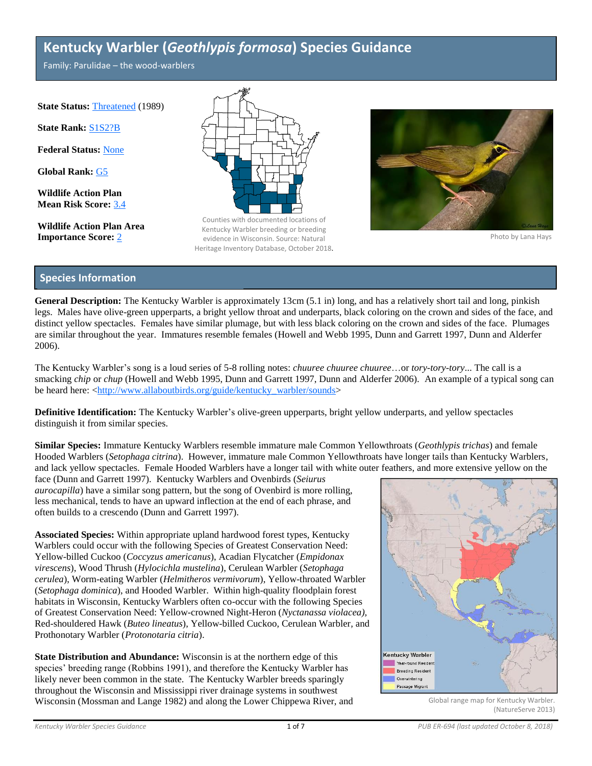# **Kentucky Warbler (***Geothlypis formosa***) Species Guidance**

Family: Parulidae – the wood-warblers

**State Status: [Threatened](http://dnr.wi.gov/topic/NHI/WList.html) (1989)** 

**State Rank:** [S1S2?B](http://dnr.wi.gov/topic/NHI/WList.html#SRank)

**Federal Status:** [None](http://dnr.wi.gov/topic/NHI/WList.html)

**Global Rank:** [G5](http://dnr.wi.gov/topic/NHI/WList.html#GRank)

**Wildlife Action Plan Mean Risk Score:** [3.4](http://dnr.wi.gov/topic/wildlifehabitat/actionplan.html)

**Wildlife Action Plan Area**



**Importance Score:** [2](http://dnr.wi.gov/topic/wildlifehabitat/actionplan.html) evidence in Wisconsin. Source: Natural **Example 2** Photo by Lana Hays Counties with documented locations of Kentucky Warbler breeding or breeding Heritage Inventory Database, October 2018.



# **Species Information**

**General Description:** The Kentucky Warbler is approximately 13cm (5.1 in) long, and has a relatively short tail and long, pinkish legs. Males have olive-green upperparts, a bright yellow throat and underparts, black coloring on the crown and sides of the face, and distinct yellow spectacles. Females have similar plumage, but with less black coloring on the crown and sides of the face. Plumages are similar throughout the year. Immatures resemble females (Howell and Webb 1995, Dunn and Garrett 1997, Dunn and Alderfer 2006).

The Kentucky Warbler's song is a loud series of 5-8 rolling notes: *chuuree chuuree chuuree*…or *tory-tory-tory*... The call is a smacking *chip* or *chup* (Howell and Webb 1995, Dunn and Garrett 1997, Dunn and Alderfer 2006). An example of a typical song can be heard here: [<http://www.allaboutbirds.org/guide/kentucky\\_warbler/sounds>](http://www.allaboutbirds.org/guide/kentucky_warbler/sounds)

**Definitive Identification:** The Kentucky Warbler's olive-green upperparts, bright yellow underparts, and yellow spectacles distinguish it from similar species.

**Similar Species:** Immature Kentucky Warblers resemble immature male Common Yellowthroats (*Geothlypis trichas*) and female Hooded Warblers (*Setophaga citrina*). However, immature male Common Yellowthroats have longer tails than Kentucky Warblers, and lack yellow spectacles. Female Hooded Warblers have a longer tail with white outer feathers, and more extensive yellow on the

face (Dunn and Garrett 1997). Kentucky Warblers and Ovenbirds (*Seiurus aurocapilla*) have a similar song pattern, but the song of Ovenbird is more rolling, less mechanical, tends to have an upward inflection at the end of each phrase, and often builds to a crescendo (Dunn and Garrett 1997).

**Associated Species:** Within appropriate upland hardwood forest types, Kentucky Warblers could occur with the following Species of Greatest Conservation Need: Yellow-billed Cuckoo (*Coccyzus americanus*), Acadian Flycatcher (*Empidonax virescens*), Wood Thrush (*Hylocichla mustelina*), Cerulean Warbler (*Setophaga cerulea*), Worm-eating Warbler (*Helmitheros vermivorum*), Yellow-throated Warbler (*Setophaga dominica*), and Hooded Warbler. Within high-quality floodplain forest habitats in Wisconsin, Kentucky Warblers often co-occur with the following Species of Greatest Conservation Need: Yellow-crowned Night-Heron (*Nyctanassa violacea),*  Red-shouldered Hawk (*Buteo lineatus*), Yellow-billed Cuckoo, Cerulean Warbler*,* and Prothonotary Warbler (*Protonotaria citria*).

**State Distribution and Abundance:** Wisconsin is at the northern edge of this species' breeding range (Robbins 1991), and therefore the Kentucky Warbler has likely never been common in the state. The Kentucky Warbler breeds sparingly throughout the Wisconsin and Mississippi river drainage systems in southwest Wisconsin (Mossman and Lange 1982) and along the Lower Chippewa River, and



Global range map for Kentucky Warbler. (NatureServe 2013)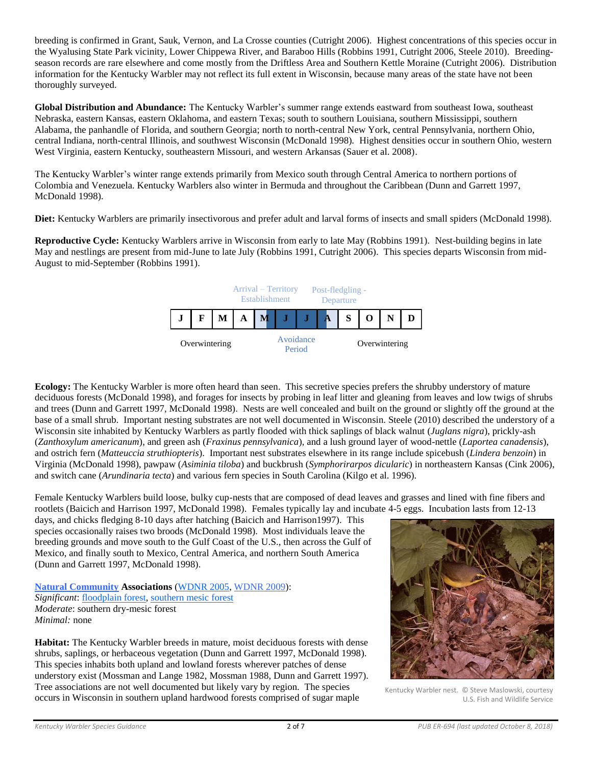breeding is confirmed in Grant, Sauk, Vernon, and La Crosse counties (Cutright 2006). Highest concentrations of this species occur in the Wyalusing State Park vicinity, Lower Chippewa River, and Baraboo Hills (Robbins 1991, Cutright 2006, Steele 2010). Breedingseason records are rare elsewhere and come mostly from the Driftless Area and Southern Kettle Moraine (Cutright 2006). Distribution information for the Kentucky Warbler may not reflect its full extent in Wisconsin, because many areas of the state have not been thoroughly surveyed.

**Global Distribution and Abundance:** The Kentucky Warbler's summer range extends eastward from southeast Iowa, southeast Nebraska, eastern Kansas, eastern Oklahoma, and eastern Texas; south to southern Louisiana, southern Mississippi, southern Alabama, the panhandle of Florida, and southern Georgia; north to north-central New York, central Pennsylvania, northern Ohio, central Indiana, north-central Illinois, and southwest Wisconsin (McDonald 1998). Highest densities occur in southern Ohio, western West Virginia, eastern Kentucky, southeastern Missouri, and western Arkansas (Sauer et al. 2008).

The Kentucky Warbler's winter range extends primarily from Mexico south through Central America to northern portions of Colombia and Venezuela. Kentucky Warblers also winter in Bermuda and throughout the Caribbean (Dunn and Garrett 1997, McDonald 1998).

**Diet:** Kentucky Warblers are primarily insectivorous and prefer adult and larval forms of insects and small spiders (McDonald 1998).

**Reproductive Cycle:** Kentucky Warblers arrive in Wisconsin from early to late May (Robbins 1991). Nest-building begins in late May and nestlings are present from mid-June to late July (Robbins 1991, Cutright 2006). This species departs Wisconsin from mid-August to mid-September (Robbins 1991).



**Ecology:** The Kentucky Warbler is more often heard than seen. This secretive species prefers the shrubby understory of mature deciduous forests (McDonald 1998), and forages for insects by probing in leaf litter and gleaning from leaves and low twigs of shrubs and trees (Dunn and Garrett 1997, McDonald 1998). Nests are well concealed and built on the ground or slightly off the ground at the base of a small shrub. Important nesting substrates are not well documented in Wisconsin. Steele (2010) described the understory of a Wisconsin site inhabited by Kentucky Warblers as partly flooded with thick saplings of black walnut (*Juglans nigra*), prickly-ash (*Zanthoxylum americanum*), and green ash (*Fraxinus pennsylvanica*), and a lush ground layer of wood-nettle (*Laportea canadensis*), and ostrich fern (*Matteuccia struthiopteris*). Important nest substrates elsewhere in its range include spicebush (*Lindera benzoin*) in Virginia (McDonald 1998), pawpaw (*Asiminia tiloba*) and buckbrush (*Symphorirarpos dicularic*) in northeastern Kansas (Cink 2006), and switch cane (*Arundinaria tecta*) and various fern species in South Carolina (Kilgo et al. 1996).

Female Kentucky Warblers build loose, bulky cup-nests that are composed of dead leaves and grasses and lined with fine fibers and rootlets (Baicich and Harrison 1997, McDonald 1998). Females typically lay and incubate 4-5 eggs. Incubation lasts from 12-13

days, and chicks fledging 8-10 days after hatching (Baicich and Harrison1997). This species occasionally raises two broods (McDonald 1998). Most individuals leave the breeding grounds and move south to the Gulf Coast of the U.S., then across the Gulf of Mexico, and finally south to Mexico, Central America, and northern South America (Dunn and Garrett 1997, McDonald 1998).

**[Natural Community](http://dnr.wi.gov/topic/EndangeredResources/Communities.asp) Associations** [\(WDNR 2005,](http://dnr.wi.gov/topic/WildlifeHabitat/ActionPlan.html) [WDNR 2009\)](http://dnr.wi.gov/topic/endangeredresources/animals.asp?mode=detail&speccode=abpbx11010): *Significant*[: floodplain forest,](http://dnr.wi.gov/topic/EndangeredResources/Communities.asp?mode=detail&Code=CPFOR024WI) [southern mesic forest](http://dnr.wi.gov/topic/EndangeredResources/Communities.asp?mode=detail&Code=CTFOR016WI) *Moderate*: southern dry-mesic forest *Minimal:* none

**Habitat:** The Kentucky Warbler breeds in mature, moist deciduous forests with dense shrubs, saplings, or herbaceous vegetation (Dunn and Garrett 1997, McDonald 1998). This species inhabits both upland and lowland forests wherever patches of dense understory exist (Mossman and Lange 1982, Mossman 1988, Dunn and Garrett 1997). Tree associations are not well documented but likely vary by region. The species occurs in Wisconsin in southern upland hardwood forests comprised of sugar maple



Kentucky Warbler nest. © Steve Maslowski, courtesy U.S. Fish and Wildlife Service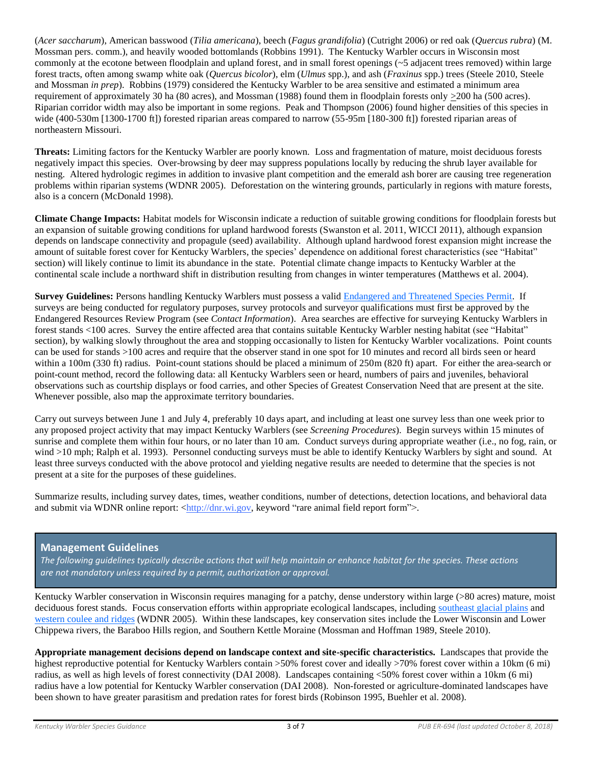(*Acer saccharum*), American basswood (*Tilia americana*), beech (*Fagus grandifolia*) (Cutright 2006) or red oak (*Quercus rubra*) (M. Mossman pers. comm.), and heavily wooded bottomlands (Robbins 1991). The Kentucky Warbler occurs in Wisconsin most commonly at the ecotone between floodplain and upland forest, and in small forest openings  $(\sim 5$  adjacent trees removed) within large forest tracts, often among swamp white oak (*Quercus bicolor*), elm (*Ulmus* spp.), and ash (*Fraxinus* spp.) trees (Steele 2010, Steele and Mossman *in prep*). Robbins (1979) considered the Kentucky Warbler to be area sensitive and estimated a minimum area requirement of approximately 30 ha (80 acres), and Mossman (1988) found them in floodplain forests only  $\geq$ 200 ha (500 acres). Riparian corridor width may also be important in some regions. Peak and Thompson (2006) found higher densities of this species in wide (400-530m [1300-1700 ft]) forested riparian areas compared to narrow (55-95m [180-300 ft]) forested riparian areas of northeastern Missouri.

**Threats:** Limiting factors for the Kentucky Warbler are poorly known. Loss and fragmentation of mature, moist deciduous forests negatively impact this species. Over-browsing by deer may suppress populations locally by reducing the shrub layer available for nesting. Altered hydrologic regimes in addition to invasive plant competition and the emerald ash borer are causing tree regeneration problems within riparian systems (WDNR 2005). Deforestation on the wintering grounds, particularly in regions with mature forests, also is a concern (McDonald 1998).

**Climate Change Impacts:** Habitat models for Wisconsin indicate a reduction of suitable growing conditions for floodplain forests but an expansion of suitable growing conditions for upland hardwood forests (Swanston et al. 2011, WICCI 2011), although expansion depends on landscape connectivity and propagule (seed) availability. Although upland hardwood forest expansion might increase the amount of suitable forest cover for Kentucky Warblers, the species' dependence on additional forest characteristics (see "Habitat" section) will likely continue to limit its abundance in the state. Potential climate change impacts to Kentucky Warbler at the continental scale include a northward shift in distribution resulting from changes in winter temperatures (Matthews et al. 2004).

**Survey Guidelines:** Persons handling Kentucky Warblers must possess a valid [Endangered and Threatened Species Permit.](http://dnr.wi.gov/topic/EndangeredResources/permits.html) If surveys are being conducted for regulatory purposes, survey protocols and surveyor qualifications must first be approved by the Endangered Resources Review Program (see *Contact Information*). Area searches are effective for surveying Kentucky Warblers in forest stands <100 acres. Survey the entire affected area that contains suitable Kentucky Warbler nesting habitat (see "Habitat" section), by walking slowly throughout the area and stopping occasionally to listen for Kentucky Warbler vocalizations. Point counts can be used for stands >100 acres and require that the observer stand in one spot for 10 minutes and record all birds seen or heard within a 100m (330 ft) radius. Point-count stations should be placed a minimum of 250m (820 ft) apart. For either the area-search or point-count method, record the following data: all Kentucky Warblers seen or heard, numbers of pairs and juveniles, behavioral observations such as courtship displays or food carries, and other Species of Greatest Conservation Need that are present at the site. Whenever possible, also map the approximate territory boundaries.

Carry out surveys between June 1 and July 4, preferably 10 days apart, and including at least one survey less than one week prior to any proposed project activity that may impact Kentucky Warblers (see *Screening Procedures*). Begin surveys within 15 minutes of sunrise and complete them within four hours, or no later than 10 am. Conduct surveys during appropriate weather (i.e., no fog, rain, or wind >10 mph; Ralph et al. 1993). Personnel conducting surveys must be able to identify Kentucky Warblers by sight and sound. At least three surveys conducted with the above protocol and yielding negative results are needed to determine that the species is not present at a site for the purposes of these guidelines.

Summarize results, including survey dates, times, weather conditions, number of detections, detection locations, and behavioral data and submit via WDNR online report:  $\langle \frac{http://dn.wi.gov, keyword "rare animal field report form" \rangle$ .

# **Management Guidelines**

*The following guidelines typically describe actions that will help maintain or enhance habitat for the species. These actions are not mandatory unless required by a permit, authorization or approval.*

Kentucky Warbler conservation in Wisconsin requires managing for a patchy, dense understory within large (>80 acres) mature, moist deciduous forest stands. Focus conservation efforts within appropriate ecological landscapes, including [southeast glacial plains](http://dnr.wi.gov/topic/landscapes/index.asp?mode=detail&landscape=9) and [western coulee and ridges](http://dnr.wi.gov/topic/landscapes/index.asp?mode=detail&landscape=11) (WDNR 2005). Within these landscapes, key conservation sites include the Lower Wisconsin and Lower Chippewa rivers, the Baraboo Hills region, and Southern Kettle Moraine (Mossman and Hoffman 1989, Steele 2010).

**Appropriate management decisions depend on landscape context and site-specific characteristics.** Landscapes that provide the highest reproductive potential for Kentucky Warblers contain >50% forest cover and ideally >70% forest cover within a 10km (6 mi) radius, as well as high levels of forest connectivity (DAI 2008). Landscapes containing <50% forest cover within a 10km (6 mi) radius have a low potential for Kentucky Warbler conservation (DAI 2008). Non-forested or agriculture-dominated landscapes have been shown to have greater parasitism and predation rates for forest birds (Robinson 1995, Buehler et al. 2008).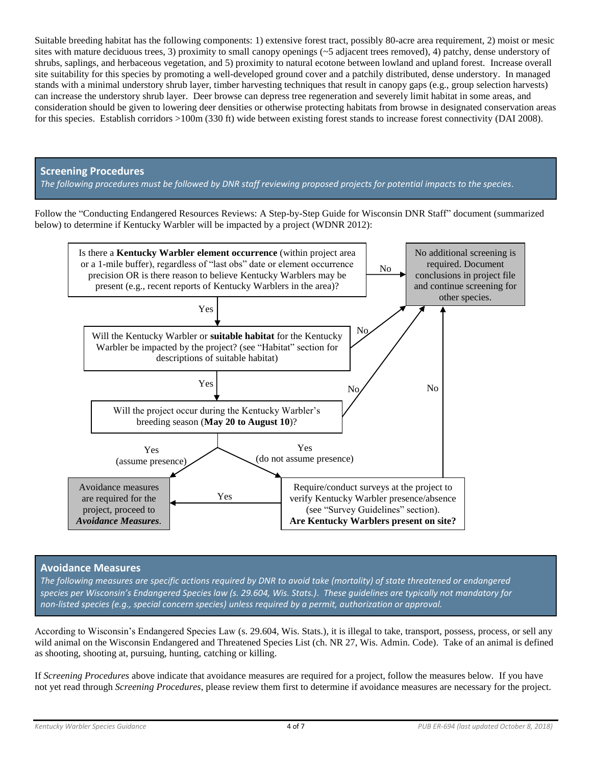Suitable breeding habitat has the following components: 1) extensive forest tract, possibly 80-acre area requirement, 2) moist or mesic sites with mature deciduous trees, 3) proximity to small canopy openings (~5 adjacent trees removed), 4) patchy, dense understory of shrubs, saplings, and herbaceous vegetation, and 5) proximity to natural ecotone between lowland and upland forest. Increase overall site suitability for this species by promoting a well-developed ground cover and a patchily distributed, dense understory. In managed stands with a minimal understory shrub layer, timber harvesting techniques that result in canopy gaps (e.g., group selection harvests) can increase the understory shrub layer. Deer browse can depress tree regeneration and severely limit habitat in some areas, and consideration should be given to lowering deer densities or otherwise protecting habitats from browse in designated conservation areas for this species. Establish corridors >100m (330 ft) wide between existing forest stands to increase forest connectivity (DAI 2008).

# **Screening Procedures**

*The following procedures must be followed by DNR staff reviewing proposed projects for potential impacts to the species.*

Follow the "Conducting Endangered Resources Reviews: A Step-by-Step Guide for Wisconsin DNR Staff" document (summarized below) to determine if Kentucky Warbler will be impacted by a project (WDNR 2012):



# **Avoidance Measures**

*The following measures are specific actions required by DNR to avoid take (mortality) of state threatened or endangered species per Wisconsin's Endangered Species law (s. 29.604, Wis. Stats.). These guidelines are typically not mandatory for non-listed species (e.g., special concern species) unless required by a permit, authorization or approval.*

According to Wisconsin's Endangered Species Law (s. 29.604, Wis. Stats.), it is illegal to take, transport, possess, process, or sell any wild animal on the Wisconsin Endangered and Threatened Species List (ch. NR 27, Wis. Admin. Code). Take of an animal is defined as shooting, shooting at, pursuing, hunting, catching or killing.

If *Screening Procedures* above indicate that avoidance measures are required for a project, follow the measures below. If you have not yet read through *Screening Procedures*, please review them first to determine if avoidance measures are necessary for the project.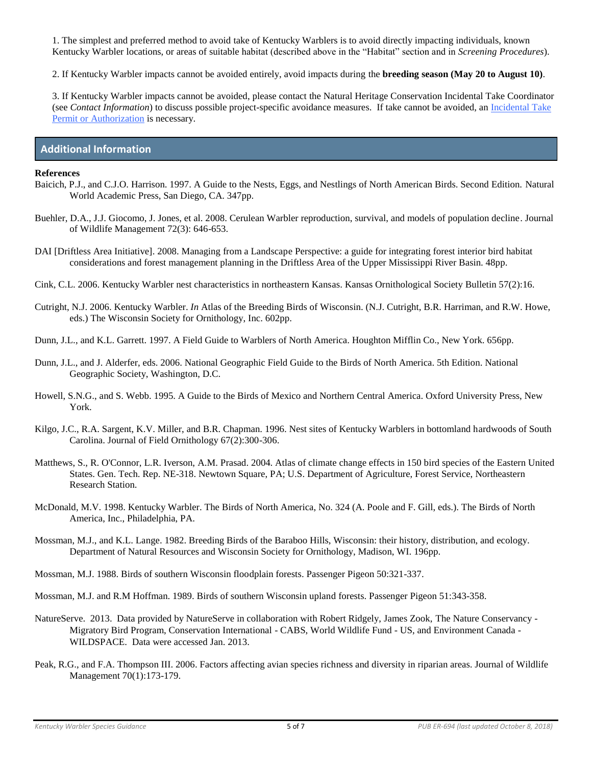1. The simplest and preferred method to avoid take of Kentucky Warblers is to avoid directly impacting individuals, known Kentucky Warbler locations, or areas of suitable habitat (described above in the "Habitat" section and in *Screening Procedures*).

2. If Kentucky Warbler impacts cannot be avoided entirely, avoid impacts during the **breeding season (May 20 to August 10)**.

3. If Kentucky Warbler impacts cannot be avoided, please contact the Natural Heritage Conservation Incidental Take Coordinator (see *Contact Information*) to discuss possible project-specific avoidance measures. If take cannot be avoided, an [Incidental Take](http://dnr.wi.gov/topic/ERReview/Take.html)  [Permit or Authorization](http://dnr.wi.gov/topic/ERReview/Take.html) is necessary.

# **Additional Information**

#### **References**

- Baicich, P.J., and C.J.O. Harrison. 1997. A Guide to the Nests, Eggs, and Nestlings of North American Birds. Second Edition. Natural World Academic Press, San Diego, CA. 347pp.
- Buehler, D.A., J.J. Giocomo, J. Jones, et al. 2008. Cerulean Warbler reproduction, survival, and models of population decline. Journal of Wildlife Management 72(3): 646-653.
- DAI [Driftless Area Initiative]. 2008. Managing from a Landscape Perspective: a guide for integrating forest interior bird habitat considerations and forest management planning in the Driftless Area of the Upper Mississippi River Basin. 48pp.
- Cink, C.L. 2006. Kentucky Warbler nest characteristics in northeastern Kansas. Kansas Ornithological Society Bulletin 57(2):16.
- Cutright, N.J. 2006. Kentucky Warbler. *In* Atlas of the Breeding Birds of Wisconsin. (N.J. Cutright, B.R. Harriman, and R.W. Howe, eds.) The Wisconsin Society for Ornithology, Inc. 602pp.
- Dunn, J.L., and K.L. Garrett. 1997. A Field Guide to Warblers of North America. Houghton Mifflin Co., New York. 656pp.
- Dunn, J.L., and J. Alderfer, eds. 2006. National Geographic Field Guide to the Birds of North America. 5th Edition. National Geographic Society, Washington, D.C.
- Howell, S.N.G., and S. Webb. 1995. A Guide to the Birds of Mexico and Northern Central America. Oxford University Press, New York.
- Kilgo, J.C., R.A. Sargent, K.V. Miller, and B.R. Chapman. 1996. Nest sites of Kentucky Warblers in bottomland hardwoods of South Carolina. Journal of Field Ornithology 67(2):300-306.
- Matthews, S., R. O'Connor, L.R. Iverson, A.M. Prasad. 2004. Atlas of climate change effects in 150 bird species of the Eastern United States. Gen. Tech. Rep. NE-318. Newtown Square, PA; U.S. Department of Agriculture, Forest Service, Northeastern Research Station.
- McDonald, M.V. 1998. Kentucky Warbler. The Birds of North America, No. 324 (A. Poole and F. Gill, eds.). The Birds of North America, Inc., Philadelphia, PA.
- Mossman, M.J., and K.L. Lange. 1982. Breeding Birds of the Baraboo Hills, Wisconsin: their history, distribution, and ecology. Department of Natural Resources and Wisconsin Society for Ornithology, Madison, WI. 196pp.
- Mossman, M.J. 1988. Birds of southern Wisconsin floodplain forests. Passenger Pigeon 50:321-337.

Mossman, M.J. and R.M Hoffman. 1989. Birds of southern Wisconsin upland forests. Passenger Pigeon 51:343-358.

- NatureServe. 2013. Data provided by NatureServe in collaboration with Robert Ridgely, James Zook, The Nature Conservancy Migratory Bird Program, Conservation International - CABS, World Wildlife Fund - US, and Environment Canada - WILDSPACE. Data were accessed Jan. 2013.
- Peak, R.G., and F.A. Thompson III. 2006. Factors affecting avian species richness and diversity in riparian areas. Journal of Wildlife Management 70(1):173-179.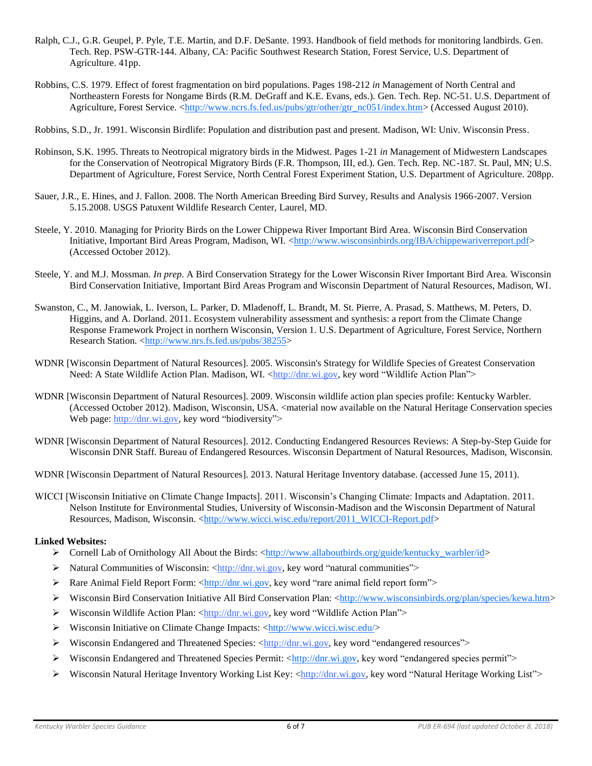- Ralph, C.J., G.R. Geupel, P. Pyle, T.E. Martin, and D.F. DeSante. 1993. Handbook of field methods for monitoring landbirds. Gen. Tech. Rep. PSW-GTR-144. Albany, CA: Pacific Southwest Research Station, Forest Service, U.S. Department of Agriculture. 41pp.
- Robbins, C.S. 1979. Effect of forest fragmentation on bird populations. Pages 198-212 *in* Management of North Central and Northeastern Forests for Nongame Birds (R.M. DeGraff and K.E. Evans, eds.). Gen. Tech. Rep. NC-51. U.S. Department of Agriculture, Forest Service. [<http://www.ncrs.fs.fed.us/pubs/gtr/other/gtr\\_nc051/index.htm>](http://www.ncrs.fs.fed.us/pubs/gtr/other/gtr_nc051/index.htm) (Accessed August 2010).
- Robbins, S.D., Jr. 1991. Wisconsin Birdlife: Population and distribution past and present. Madison, WI: Univ. Wisconsin Press.
- Robinson, S.K. 1995. Threats to Neotropical migratory birds in the Midwest. Pages 1-21 *in* Management of Midwestern Landscapes for the Conservation of Neotropical Migratory Birds (F.R. Thompson, III, ed.). Gen. Tech. Rep. NC-187. St. Paul, MN; U.S. Department of Agriculture, Forest Service, North Central Forest Experiment Station, U.S. Department of Agriculture. 208pp.
- Sauer, J.R., E. Hines, and J. Fallon. 2008. The North American Breeding Bird Survey, Results and Analysis 1966-2007. Version 5.15.2008. USGS Patuxent Wildlife Research Center, Laurel, MD.
- Steele, Y. 2010. Managing for Priority Birds on the Lower Chippewa River Important Bird Area. Wisconsin Bird Conservation Initiative, Important Bird Areas Program, Madison, WI. [<http://www.wisconsinbirds.org/IBA/chippewariverreport.pdf>](http://www.wisconsinbirds.org/IBA/chippewariverreport.pdf) (Accessed October 2012).
- Steele, Y. and M.J. Mossman. *In prep*. A Bird Conservation Strategy for the Lower Wisconsin River Important Bird Area. Wisconsin Bird Conservation Initiative, Important Bird Areas Program and Wisconsin Department of Natural Resources, Madison, WI.
- Swanston, C., M. Janowiak, L. Iverson, L. Parker, D. Mladenoff, L. Brandt, M. St. Pierre, A. Prasad, S. Matthews, M. Peters, D. Higgins, and A. Dorland. 2011. Ecosystem vulnerability assessment and synthesis: a report from the Climate Change Response Framework Project in northern Wisconsin, Version 1. U.S. Department of Agriculture, Forest Service, Northern Research Station. [<http://www.nrs.fs.fed.us/pubs/38255>](http://www.nrs.fs.fed.us/pubs/38255)
- WDNR [Wisconsin Department of Natural Resources]. 2005. Wisconsin's Strategy for Wildlife Species of Greatest Conservation Need: A State Wildlife Action Plan. Madison, WI. [<http://dnr.wi.gov,](http://dnr.wi.gov/) key word "Wildlife Action Plan">
- WDNR [Wisconsin Department of Natural Resources]. 2009. Wisconsin wildlife action plan species profile: Kentucky Warbler. (Accessed October 2012). Madison, Wisconsin, USA. <material now available on the Natural Heritage Conservation species Web page[: http://dnr.wi.gov,](http://dnr.wi.gov/) key word "biodiversity">
- WDNR [Wisconsin Department of Natural Resources]. 2012. Conducting Endangered Resources Reviews: A Step-by-Step Guide for Wisconsin DNR Staff. Bureau of Endangered Resources. Wisconsin Department of Natural Resources, Madison, Wisconsin.
- WDNR [Wisconsin Department of Natural Resources]. 2013. Natural Heritage Inventory database. (accessed June 15, 2011).
- WICCI [Wisconsin Initiative on Climate Change Impacts]. 2011. Wisconsin's Changing Climate: Impacts and Adaptation. 2011. Nelson Institute for Environmental Studies, University of Wisconsin-Madison and the Wisconsin Department of Natural Resources, Madison, Wisconsin, [<http://www.wicci.wisc.edu/report/2011\\_WICCI-Report.pdf>](http://www.wicci.wisc.edu/report/2011_WICCI-Report.pdf)

## **Linked Websites:**

- ➢ Cornell Lab of Ornithology All About the Birds: [<http://www.allaboutbirds.org/guide/kentucky\\_warbler/id>](http://www.allaboutbirds.org/guide/kentucky_warbler/id)
- $\triangleright$  Natural Communities of Wisconsin: [<http://dnr.wi.gov,](http://dnr.wi.gov/) key word "natural communities">
- ► Rare Animal Field Report Form: [<http://dnr.wi.gov,](http://dnr.wi.gov/) key word "rare animal field report form">
- ➢ Wisconsin Bird Conservation Initiative All Bird Conservation Plan: [<http://www.wisconsinbirds.org/plan/species/kewa.htm>](http://www.wisconsinbirds.org/plan/species/kewa.htm)
- ➢ Wisconsin Wildlife Action Plan: [<http://dnr.wi.gov,](http://dnr.wi.gov/) key word "Wildlife Action Plan">
- ▶ Wisconsin Initiative on Climate Change Impacts: [<http://www.wicci.wisc.edu/>](http://www.wicci.wisc.edu/)
- → Wisconsin Endangered and Threatened Species: [<http://dnr.wi.gov,](http://dnr.wi.gov/) key word "endangered resources">
- → Wisconsin Endangered and Threatened Species Permit: [<http://dnr.wi.gov,](http://dnr.wi.gov/) key word "endangered species permit">
- ➢ Wisconsin Natural Heritage Inventory Working List Key: [<http://dnr.wi.gov,](http://dnr.wi.gov/) key word "Natural Heritage Working List">